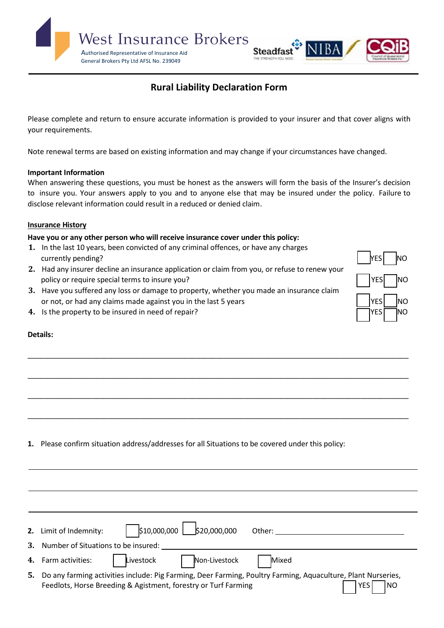

# **Rural Liability Declaration Form**

Please complete and return to ensure accurate information is provided to your insurer and that cover aligns with your requirements.

Note renewal terms are based on existing information and may change if your circumstances have changed.

### **Important Information**

When answering these questions, you must be honest as the answers will form the basis of the Insurer's decision to insure you. Your answers apply to you and to anyone else that may be insured under the policy. Failure to disclose relevant information could result in a reduced or denied claim.

\_\_\_\_\_\_\_\_\_\_\_\_\_\_\_\_\_\_\_\_\_\_\_\_\_\_\_\_\_\_\_\_\_\_\_\_\_\_\_\_\_\_\_\_\_\_\_\_\_\_\_\_\_\_\_\_\_\_\_\_\_\_\_\_\_\_\_\_\_\_\_\_\_\_\_\_\_\_\_\_\_\_\_\_\_\_\_\_\_\_\_\_\_\_\_

\_\_\_\_\_\_\_\_\_\_\_\_\_\_\_\_\_\_\_\_\_\_\_\_\_\_\_\_\_\_\_\_\_\_\_\_\_\_\_\_\_\_\_\_\_\_\_\_\_\_\_\_\_\_\_\_\_\_\_\_\_\_\_\_\_\_\_\_\_\_\_\_\_\_\_\_\_\_\_\_\_\_\_\_\_\_\_\_\_\_\_\_\_\_\_

\_\_\_\_\_\_\_\_\_\_\_\_\_\_\_\_\_\_\_\_\_\_\_\_\_\_\_\_\_\_\_\_\_\_\_\_\_\_\_\_\_\_\_\_\_\_\_\_\_\_\_\_\_\_\_\_\_\_\_\_\_\_\_\_\_\_\_\_\_\_\_\_\_\_\_\_\_\_\_\_\_\_\_\_\_\_\_\_\_\_\_\_\_\_\_

\_\_\_\_\_\_\_\_\_\_\_\_\_\_\_\_\_\_\_\_\_\_\_\_\_\_\_\_\_\_\_\_\_\_\_\_\_\_\_\_\_\_\_\_\_\_\_\_\_\_\_\_\_\_\_\_\_\_\_\_\_\_\_\_\_\_\_\_\_\_\_\_\_\_\_\_\_\_\_\_\_\_\_\_\_\_\_\_\_\_\_\_\_\_\_

### **Insurance History**

### **Have you or any other person who will receive insurance cover under this policy:**

- **1.** In the last 10 years, been convicted of any criminal offences, or have any charges currently pending? No we have a set of the set of the set of the set of the set of the set of the set of the set of the set of the set of the set of the set of the set of the set of the set of the set of the set of the set
- **2.** Had any insurer decline an insurance application or claim from you, or refuse to renew your policy or require special terms to insure you? YES NO NOTE: The SALE SECTION OF THE SALE SECTION OF THE SALE S
- **3.** Have you suffered any loss or damage to property, whether you made an insurance claim or not, or had any claims made against you in the last 5 years VES NO NOST RESIGN NO



**4.** Is the property to be insured in need of repair? The same of the same of the same of the same of the same of the same of the same of the same of the same of the same of the same of the same of the same of the same of

## **Details:**

**2.** Limit of Indemnity:  $\begin{vmatrix} 1 & 2 & 3 \\ 1 & 0 & 0 \\ 0 & 0 & 0 \end{vmatrix}$  \$20,000,000 Other: **3.** Number of Situations to be insured: **4.** Farm activities:  $\begin{array}{ccc} \vert & \vert \text{Livestock} & \vert & \vert \text{Non-Livestock} \end{array}$  Mixed **5.** Do any farming activities include: Pig Farming, Deer Farming, Poultry Farming, Aquaculture, Plant Nurseries, Feedlots, Horse Breeding & Agistment, forestry or Turf Farming November 2014 | YES | NO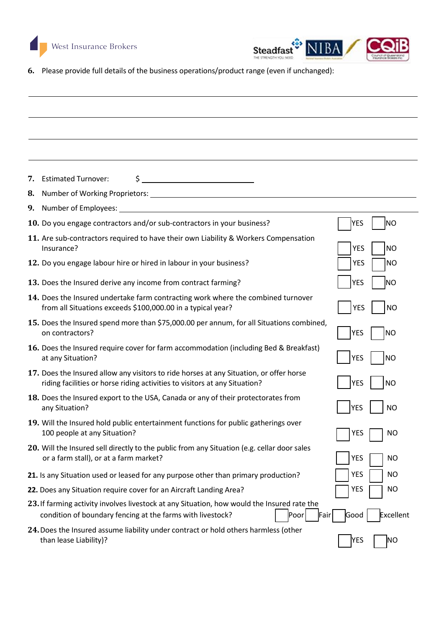



**6.** Please provide full details of the business operations/product range (even if unchanged):

**7.** Estimated Turnover:  $\frac{1}{2}$   $\frac{1}{2}$   $\frac{1}{2}$   $\frac{1}{2}$   $\frac{1}{2}$   $\frac{1}{2}$   $\frac{1}{2}$   $\frac{1}{2}$   $\frac{1}{2}$   $\frac{1}{2}$   $\frac{1}{2}$   $\frac{1}{2}$   $\frac{1}{2}$   $\frac{1}{2}$   $\frac{1}{2}$   $\frac{1}{2}$   $\frac{1}{2}$   $\frac{1}{2}$   $\frac{1}{2}$   $\frac{1}{2$ 

**8.** Number of Working Proprietors:

| 9. Number of Employees:                                                                                                                                                   |                         |
|---------------------------------------------------------------------------------------------------------------------------------------------------------------------------|-------------------------|
| 10. Do you engage contractors and/or sub-contractors in your business?                                                                                                    | YES<br><b>NO</b>        |
| 11. Are sub-contractors required to have their own Liability & Workers Compensation<br>Insurance?                                                                         | <b>YES</b><br><b>NO</b> |
| 12. Do you engage labour hire or hired in labour in your business?                                                                                                        | <b>NO</b><br><b>YES</b> |
| 13. Does the Insured derive any income from contract farming?                                                                                                             | <b>YES</b><br> NO       |
| 14. Does the Insured undertake farm contracting work where the combined turnover<br>from all Situations exceeds \$100,000.00 in a typical year?                           | <b>YES</b><br><b>NO</b> |
| 15. Does the Insured spend more than \$75,000.00 per annum, for all Situations combined,<br>on contractors?                                                               | <b>YES</b><br><b>NO</b> |
| 16. Does the Insured require cover for farm accommodation (including Bed & Breakfast)<br>at any Situation?                                                                | <b>YES</b><br><b>NO</b> |
| 17. Does the Insured allow any visitors to ride horses at any Situation, or offer horse<br>riding facilities or horse riding activities to visitors at any Situation?     | YES<br><b>NO</b>        |
| 18. Does the Insured export to the USA, Canada or any of their protectorates from<br>any Situation?                                                                       | <b>YES</b><br><b>NO</b> |
| 19. Will the Insured hold public entertainment functions for public gatherings over<br>100 people at any Situation?                                                       | <b>YES</b><br><b>NO</b> |
| 20. Will the Insured sell directly to the public from any Situation (e.g. cellar door sales<br>or a farm stall), or at a farm market?                                     | <b>YES</b><br><b>NO</b> |
| 21. Is any Situation used or leased for any purpose other than primary production?                                                                                        | <b>YES</b><br><b>NO</b> |
| 22. Does any Situation require cover for an Aircraft Landing Area?                                                                                                        | <b>YES</b><br><b>NO</b> |
| 23. If farming activity involves livestock at any Situation, how would the Insured rate the<br>Poor<br>condition of boundary fencing at the farms with livestock?<br>Fair | Excellent<br>Good       |
| 24. Does the Insured assume liability under contract or hold others harmless (other<br>than lease Liability)?                                                             | <b>YES</b><br>ΝO        |